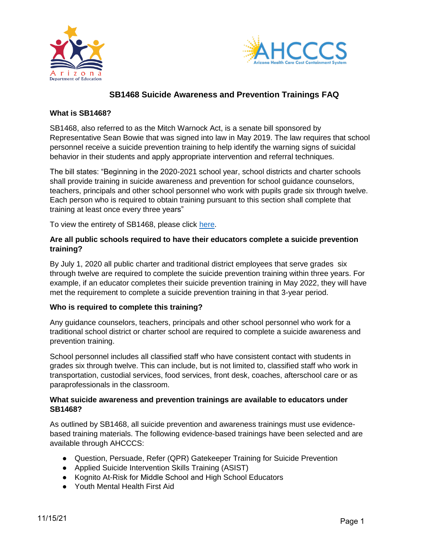



# **SB1468 Suicide Awareness and Prevention Trainings FAQ**

#### **What is SB1468?**

SB1468, also referred to as the Mitch Warnock Act, is a senate bill sponsored by Representative Sean Bowie that was signed into law in May 2019. The law requires that school personnel receive a suicide prevention training to help identify the warning signs of suicidal behavior in their students and apply appropriate intervention and referral techniques.

The bill states: "Beginning in the 2020-2021 school year, school districts and charter schools shall provide training in suicide awareness and prevention for school guidance counselors, teachers, principals and other school personnel who work with pupils grade six through twelve. Each person who is required to obtain training pursuant to this section shall complete that training at least once every three years"

To view the entirety of SB1468, please click [here.](https://www.azleg.gov/legtext/54leg/1R/laws/0199.pdf)

### **Are all public schools required to have their educators complete a suicide prevention training?**

By July 1, 2020 all public charter and traditional district employees that serve grades six through twelve are required to complete the suicide prevention training within three years. For example, if an educator completes their suicide prevention training in May 2022, they will have met the requirement to complete a suicide prevention training in that 3-year period.

### **Who is required to complete this training?**

Any guidance counselors, teachers, principals and other school personnel who work for a traditional school district or charter school are required to complete a suicide awareness and prevention training.

School personnel includes all classified staff who have consistent contact with students in grades six through twelve. This can include, but is not limited to, classified staff who work in transportation, custodial services, food services, front desk, coaches, afterschool care or as paraprofessionals in the classroom.

#### **What suicide awareness and prevention trainings are available to educators under SB1468?**

As outlined by SB1468, all suicide prevention and awareness trainings must use evidencebased training materials. The following evidence-based trainings have been selected and are available through AHCCCS:

- Question, Persuade, Refer (QPR) Gatekeeper Training for Suicide Prevention
- Applied Suicide Intervention Skills Training (ASIST)
- Kognito At-Risk for Middle School and High School Educators
- Youth Mental Health First Aid